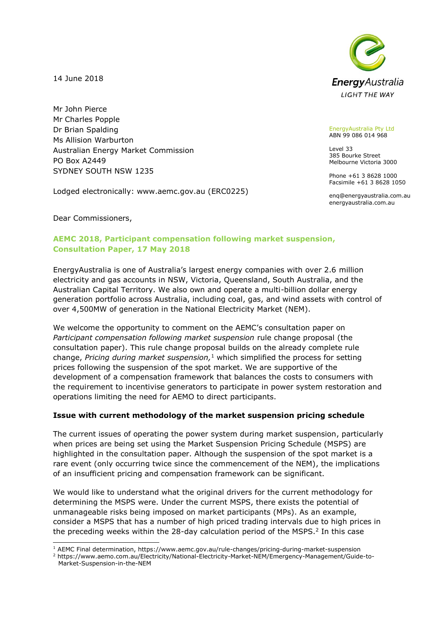14 June 2018

Mr John Pierce Mr Charles Popple Dr Brian Spalding Ms Allision Warburton Australian Energy Market Commission PO Box A2449 SYDNEY SOUTH NSW 1235

Lodged electronically: www.aemc.gov.au (ERC0225)



EnergyAustralia Pty Ltd ABN 99 086 014 968

Level 33 385 Bourke Street Melbourne Victoria 3000

Phone +61 3 8628 1000 Facsimile +61 3 8628 1050

enq@energyaustralia.com.au energyaustralia.com.au

Dear Commissioners,

-

# **AEMC 2018, Participant compensation following market suspension, Consultation Paper, 17 May 2018**

EnergyAustralia is one of Australia's largest energy companies with over 2.6 million electricity and gas accounts in NSW, Victoria, Queensland, South Australia, and the Australian Capital Territory. We also own and operate a multi-billion dollar energy generation portfolio across Australia, including coal, gas, and wind assets with control of over 4,500MW of generation in the National Electricity Market (NEM).

We welcome the opportunity to comment on the AEMC's consultation paper on *Participant compensation following market suspension* rule change proposal (the consultation paper). This rule change proposal builds on the already complete rule change, *Pricing during market suspension,* <sup>1</sup> which simplified the process for setting prices following the suspension of the spot market. We are supportive of the development of a compensation framework that balances the costs to consumers with the requirement to incentivise generators to participate in power system restoration and operations limiting the need for AEMO to direct participants.

# **Issue with current methodology of the market suspension pricing schedule**

The current issues of operating the power system during market suspension, particularly when prices are being set using the Market Suspension Pricing Schedule (MSPS) are highlighted in the consultation paper. Although the suspension of the spot market is a rare event (only occurring twice since the commencement of the NEM), the implications of an insufficient pricing and compensation framework can be significant.

We would like to understand what the original drivers for the current methodology for determining the MSPS were. Under the current MSPS, there exists the potential of unmanageable risks being imposed on market participants (MPs). As an example, consider a MSPS that has a number of high priced trading intervals due to high prices in the preceding weeks within the 28-day calculation period of the MSPS.<sup>2</sup> In this case

<sup>1</sup> AEMC Final determination, https://www.aemc.gov.au/rule-changes/pricing-during-market-suspension

<sup>2</sup> https://www.aemo.com.au/Electricity/National-Electricity-Market-NEM/Emergency-Management/Guide-to-Market-Suspension-in-the-NEM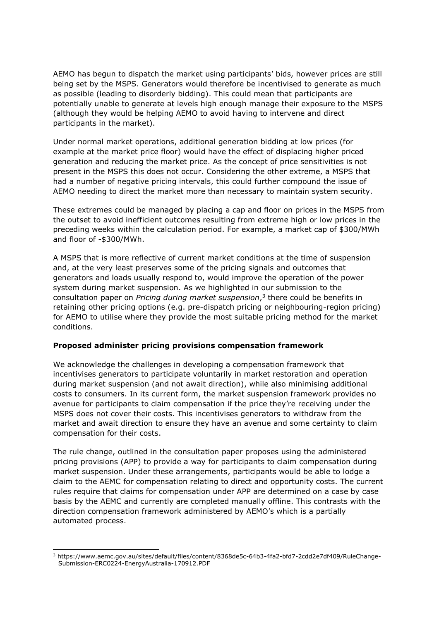AEMO has begun to dispatch the market using participants' bids, however prices are still being set by the MSPS. Generators would therefore be incentivised to generate as much as possible (leading to disorderly bidding). This could mean that participants are potentially unable to generate at levels high enough manage their exposure to the MSPS (although they would be helping AEMO to avoid having to intervene and direct participants in the market).

Under normal market operations, additional generation bidding at low prices (for example at the market price floor) would have the effect of displacing higher priced generation and reducing the market price. As the concept of price sensitivities is not present in the MSPS this does not occur. Considering the other extreme, a MSPS that had a number of negative pricing intervals, this could further compound the issue of AEMO needing to direct the market more than necessary to maintain system security.

These extremes could be managed by placing a cap and floor on prices in the MSPS from the outset to avoid inefficient outcomes resulting from extreme high or low prices in the preceding weeks within the calculation period. For example, a market cap of \$300/MWh and floor of -\$300/MWh.

A MSPS that is more reflective of current market conditions at the time of suspension and, at the very least preserves some of the pricing signals and outcomes that generators and loads usually respond to, would improve the operation of the power system during market suspension. As we highlighted in our submission to the consultation paper on *Pricing during market suspension*, 3 there could be benefits in retaining other pricing options (e.g. pre-dispatch pricing or neighbouring-region pricing) for AEMO to utilise where they provide the most suitable pricing method for the market conditions.

### **Proposed administer pricing provisions compensation framework**

We acknowledge the challenges in developing a compensation framework that incentivises generators to participate voluntarily in market restoration and operation during market suspension (and not await direction), while also minimising additional costs to consumers. In its current form, the market suspension framework provides no avenue for participants to claim compensation if the price they're receiving under the MSPS does not cover their costs. This incentivises generators to withdraw from the market and await direction to ensure they have an avenue and some certainty to claim compensation for their costs.

The rule change, outlined in the consultation paper proposes using the administered pricing provisions (APP) to provide a way for participants to claim compensation during market suspension. Under these arrangements, participants would be able to lodge a claim to the AEMC for compensation relating to direct and opportunity costs. The current rules require that claims for compensation under APP are determined on a case by case basis by the AEMC and currently are completed manually offline. This contrasts with the direction compensation framework administered by AEMO's which is a partially automated process.

-

<sup>3</sup> https://www.aemc.gov.au/sites/default/files/content/8368de5c-64b3-4fa2-bfd7-2cdd2e7df409/RuleChange-Submission-ERC0224-EnergyAustralia-170912.PDF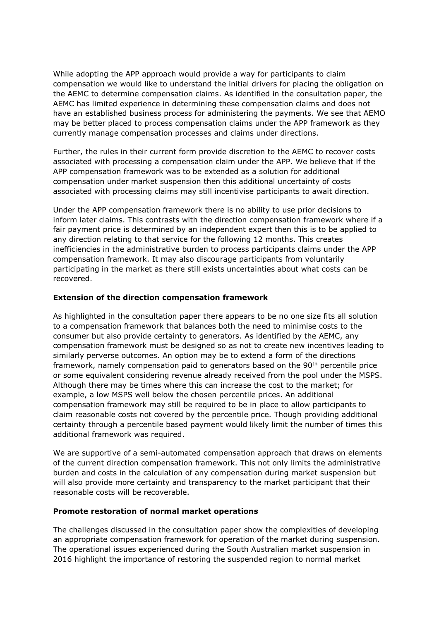While adopting the APP approach would provide a way for participants to claim compensation we would like to understand the initial drivers for placing the obligation on the AEMC to determine compensation claims. As identified in the consultation paper, the AEMC has limited experience in determining these compensation claims and does not have an established business process for administering the payments. We see that AEMO may be better placed to process compensation claims under the APP framework as they currently manage compensation processes and claims under directions.

Further, the rules in their current form provide discretion to the AEMC to recover costs associated with processing a compensation claim under the APP. We believe that if the APP compensation framework was to be extended as a solution for additional compensation under market suspension then this additional uncertainty of costs associated with processing claims may still incentivise participants to await direction.

Under the APP compensation framework there is no ability to use prior decisions to inform later claims. This contrasts with the direction compensation framework where if a fair payment price is determined by an independent expert then this is to be applied to any direction relating to that service for the following 12 months. This creates inefficiencies in the administrative burden to process participants claims under the APP compensation framework. It may also discourage participants from voluntarily participating in the market as there still exists uncertainties about what costs can be recovered.

## **Extension of the direction compensation framework**

As highlighted in the consultation paper there appears to be no one size fits all solution to a compensation framework that balances both the need to minimise costs to the consumer but also provide certainty to generators. As identified by the AEMC, any compensation framework must be designed so as not to create new incentives leading to similarly perverse outcomes. An option may be to extend a form of the directions framework, namely compensation paid to generators based on the 90th percentile price or some equivalent considering revenue already received from the pool under the MSPS. Although there may be times where this can increase the cost to the market; for example, a low MSPS well below the chosen percentile prices. An additional compensation framework may still be required to be in place to allow participants to claim reasonable costs not covered by the percentile price. Though providing additional certainty through a percentile based payment would likely limit the number of times this additional framework was required.

We are supportive of a semi-automated compensation approach that draws on elements of the current direction compensation framework. This not only limits the administrative burden and costs in the calculation of any compensation during market suspension but will also provide more certainty and transparency to the market participant that their reasonable costs will be recoverable.

### **Promote restoration of normal market operations**

The challenges discussed in the consultation paper show the complexities of developing an appropriate compensation framework for operation of the market during suspension. The operational issues experienced during the South Australian market suspension in 2016 highlight the importance of restoring the suspended region to normal market